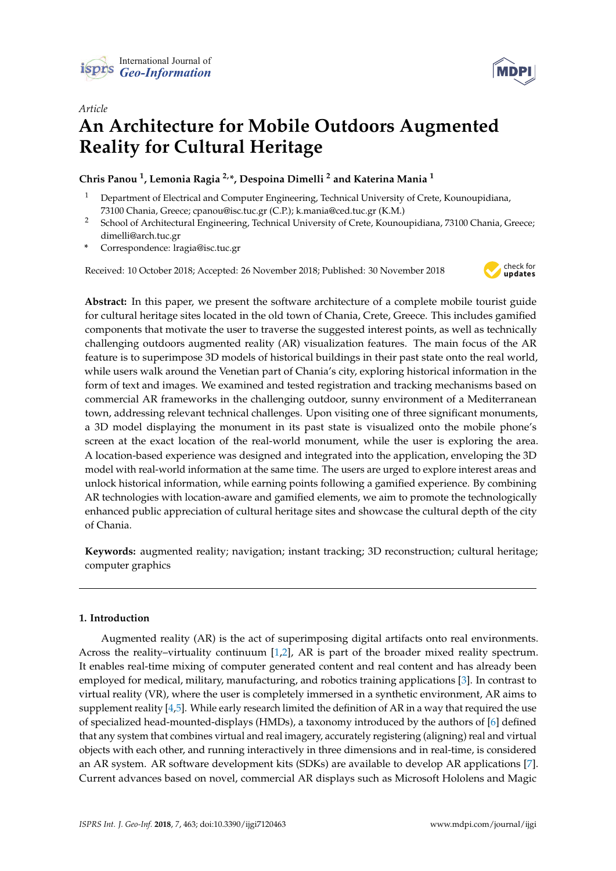



# *Article* **An Architecture for Mobile Outdoors Augmented Reality for Cultural Heritage**

# **Chris Panou <sup>1</sup> , Lemonia Ragia 2,\*, Despoina Dimelli <sup>2</sup> and Katerina Mania <sup>1</sup>**

- <sup>1</sup> Department of Electrical and Computer Engineering, Technical University of Crete, Kounoupidiana, 73100 Chania, Greece; cpanou@isc.tuc.gr (C.P.); k.mania@ced.tuc.gr (K.M.)
- <sup>2</sup> School of Architectural Engineering, Technical University of Crete, Kounoupidiana, 73100 Chania, Greece; dimelli@arch.tuc.gr
- **\*** Correspondence: lragia@isc.tuc.gr

Received: 10 October 2018; Accepted: 26 November 2018; Published: 30 November 2018



**Abstract:** In this paper, we present the software architecture of a complete mobile tourist guide for cultural heritage sites located in the old town of Chania, Crete, Greece. This includes gamified components that motivate the user to traverse the suggested interest points, as well as technically challenging outdoors augmented reality (AR) visualization features. The main focus of the AR feature is to superimpose 3D models of historical buildings in their past state onto the real world, while users walk around the Venetian part of Chania's city, exploring historical information in the form of text and images. We examined and tested registration and tracking mechanisms based on commercial AR frameworks in the challenging outdoor, sunny environment of a Mediterranean town, addressing relevant technical challenges. Upon visiting one of three significant monuments, a 3D model displaying the monument in its past state is visualized onto the mobile phone's screen at the exact location of the real-world monument, while the user is exploring the area. A location-based experience was designed and integrated into the application, enveloping the 3D model with real-world information at the same time. The users are urged to explore interest areas and unlock historical information, while earning points following a gamified experience. By combining AR technologies with location-aware and gamified elements, we aim to promote the technologically enhanced public appreciation of cultural heritage sites and showcase the cultural depth of the city of Chania.

**Keywords:** augmented reality; navigation; instant tracking; 3D reconstruction; cultural heritage; computer graphics

# **1. Introduction**

Augmented reality (AR) is the act of superimposing digital artifacts onto real environments. Across the reality–virtuality continuum [\[1](#page-21-0)[,2\]](#page-21-1), AR is part of the broader mixed reality spectrum. It enables real-time mixing of computer generated content and real content and has already been employed for medical, military, manufacturing, and robotics training applications [\[3\]](#page-21-2). In contrast to virtual reality (VR), where the user is completely immersed in a synthetic environment, AR aims to supplement reality [\[4](#page-21-3)[,5\]](#page-21-4). While early research limited the definition of AR in a way that required the use of specialized head-mounted-displays (HMDs), a taxonomy introduced by the authors of [\[6\]](#page-21-5) defined that any system that combines virtual and real imagery, accurately registering (aligning) real and virtual objects with each other, and running interactively in three dimensions and in real-time, is considered an AR system. AR software development kits (SDKs) are available to develop AR applications [\[7\]](#page-21-6). Current advances based on novel, commercial AR displays such as Microsoft Hololens and Magic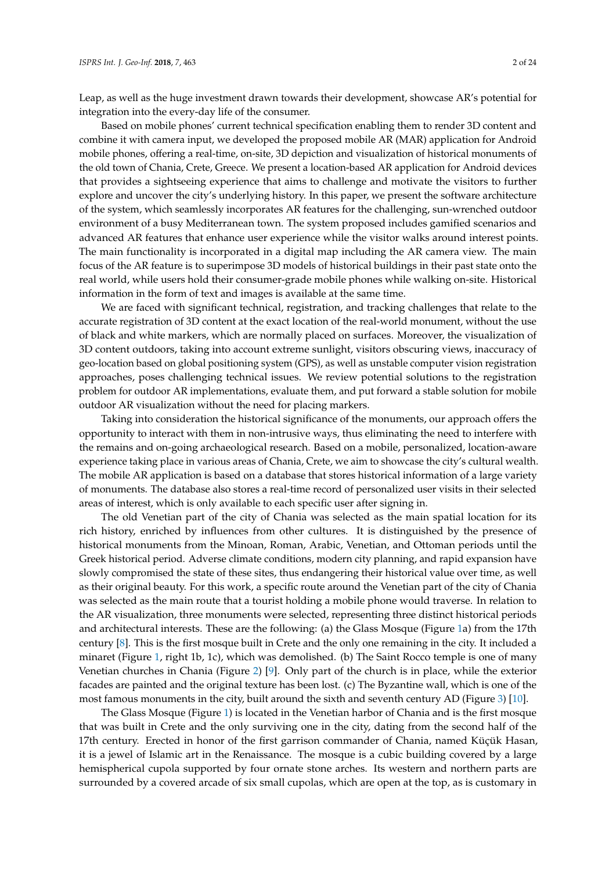Leap, as well as the huge investment drawn towards their development, showcase AR's potential for integration into the every-day life of the consumer.

Based on mobile phones' current technical specification enabling them to render 3D content and combine it with camera input, we developed the proposed mobile AR (MAR) application for Android mobile phones, offering a real-time, on-site, 3D depiction and visualization of historical monuments of the old town of Chania, Crete, Greece. We present a location-based AR application for Android devices that provides a sightseeing experience that aims to challenge and motivate the visitors to further explore and uncover the city's underlying history. In this paper, we present the software architecture of the system, which seamlessly incorporates AR features for the challenging, sun-wrenched outdoor environment of a busy Mediterranean town. The system proposed includes gamified scenarios and advanced AR features that enhance user experience while the visitor walks around interest points. The main functionality is incorporated in a digital map including the AR camera view. The main focus of the AR feature is to superimpose 3D models of historical buildings in their past state onto the real world, while users hold their consumer-grade mobile phones while walking on-site. Historical information in the form of text and images is available at the same time.

We are faced with significant technical, registration, and tracking challenges that relate to the accurate registration of 3D content at the exact location of the real-world monument, without the use of black and white markers, which are normally placed on surfaces. Moreover, the visualization of 3D content outdoors, taking into account extreme sunlight, visitors obscuring views, inaccuracy of geo-location based on global positioning system (GPS), as well as unstable computer vision registration approaches, poses challenging technical issues. We review potential solutions to the registration problem for outdoor AR implementations, evaluate them, and put forward a stable solution for mobile outdoor AR visualization without the need for placing markers.

Taking into consideration the historical significance of the monuments, our approach offers the opportunity to interact with them in non-intrusive ways, thus eliminating the need to interfere with the remains and on-going archaeological research. Based on a mobile, personalized, location-aware experience taking place in various areas of Chania, Crete, we aim to showcase the city's cultural wealth. The mobile AR application is based on a database that stores historical information of a large variety of monuments. The database also stores a real-time record of personalized user visits in their selected areas of interest, which is only available to each specific user after signing in.

The old Venetian part of the city of Chania was selected as the main spatial location for its rich history, enriched by influences from other cultures. It is distinguished by the presence of historical monuments from the Minoan, Roman, Arabic, Venetian, and Ottoman periods until the Greek historical period. Adverse climate conditions, modern city planning, and rapid expansion have slowly compromised the state of these sites, thus endangering their historical value over time, as well as their original beauty. For this work, a specific route around the Venetian part of the city of Chania was selected as the main route that a tourist holding a mobile phone would traverse. In relation to the AR visualization, three monuments were selected, representing three distinct historical periods and architectural interests. These are the following: (a) the Glass Mosque (Figure [1a](#page-2-0)) from the 17th century [\[8\]](#page-21-7). This is the first mosque built in Crete and the only one remaining in the city. It included a minaret (Figure [1,](#page-2-0) right 1b, 1c), which was demolished. (b) The Saint Rocco temple is one of many Venetian churches in Chania (Figure [2\)](#page-2-1) [\[9\]](#page-21-8). Only part of the church is in place, while the exterior facades are painted and the original texture has been lost. (c) The Byzantine wall, which is one of the most famous monuments in the city, built around the sixth and seventh century AD (Figure [3\)](#page-2-2) [\[10\]](#page-21-9).

The Glass Mosque (Figure [1\)](#page-2-0) is located in the Venetian harbor of Chania and is the first mosque that was built in Crete and the only surviving one in the city, dating from the second half of the 17th century. Erected in honor of the first garrison commander of Chania, named Küçük Hasan, it is a jewel of Islamic art in the Renaissance. The mosque is a cubic building covered by a large hemispherical cupola supported by four ornate stone arches. Its western and northern parts are surrounded by a covered arcade of six small cupolas, which are open at the top, as is customary in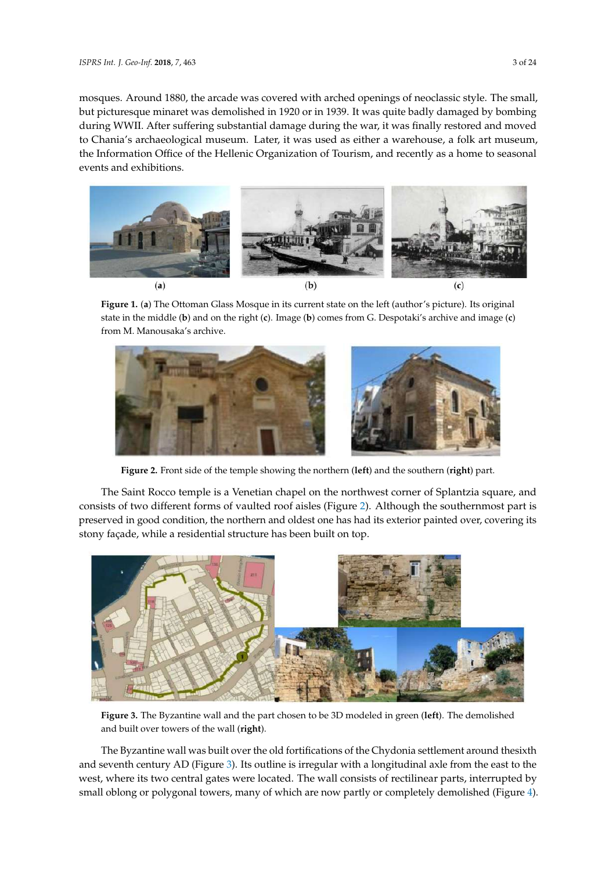mosques. Around 1880, the arcade was covered with arched openings of neoclassic style. The small, but picturesque minaret was demolished in 1920 or in 1939. It was quite badly damaged by bombing during WWII. After suffering substantial damage during the war, it was finally restored and moved to Chania's archaeological museum. Later, it was used as either a warehouse, a folk art museum, the Information Office of the Hellenic Organization of Tourism, and recently as a home to seasonal events and exhibitions.

<span id="page-2-0"></span>

**Figure 1.** (**a**) The Ottoman Glass Mosque in its current state on the left (author's picture). Its original state in the middle (**b**) and on the right (**c**). Image (**b**) comes from G. Despotaki's archive and image (**c**) from M. Manousaka's archive.

<span id="page-2-1"></span>

**Figure 2.** Front side of the temple showing the northern (**left**) and the southern (**right**) part.

The Saint Rocco temple is a Venetian chapel on the northwest corner of Splantzia square, and consists of two different forms of vaulted roof aisles (Figure [2\)](#page-2-1). Although the southernmost part is preserved in good condition, the northern and oldest one has had its exterior painted over, covering its stony façade, while a residential structure has been built on top.

<span id="page-2-2"></span>

**Figure 3.** The Byzantine wall and the part chosen to be 3D modeled in green (**left**). The demolished and built over towers of the wall (**right**).

The Byzantine wall was built over the old fortifications of the Chydonia settlement around thesixth and seventh century AD (Figure [3\)](#page-2-2). Its outline is irregular with a longitudinal axle from the east to the west, where its two central gates were located. The wall consists of rectilinear parts, interrupted by small oblong or polygonal towers, many of which are now partly or completely demolished (Figure [4\)](#page-3-0).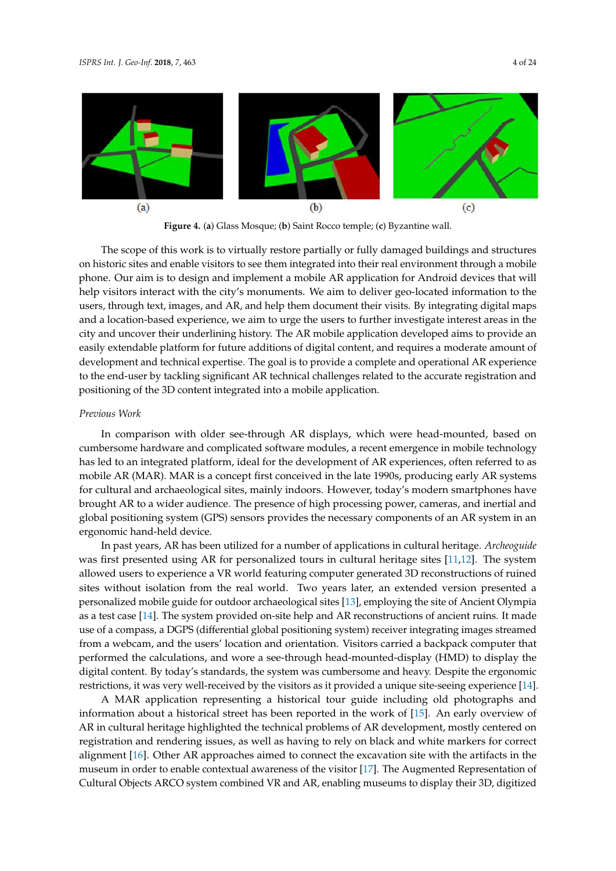<span id="page-3-0"></span>

**Figure 4.** (**a**) Glass Mosque; (**b**) Saint Rocco temple; (**c**) Byzantine wall.

The scope of this work is to virtually restore partially or fully damaged buildings and structures on historic sites and enable visitors to see them integrated into their real environment through a mobile phone. Our aim is to design and implement a mobile AR application for Android devices that will help visitors interact with the city's monuments. We aim to deliver geo-located information to the users, through text, images, and AR, and help them document their visits. By integrating digital maps and a location-based experience, we aim to urge the users to further investigate interest areas in the city and uncover their underlining history. The AR mobile application developed aims to provide an easily extendable platform for future additions of digital content, and requires a moderate amount of development and technical expertise. The goal is to provide a complete and operational AR experience to the end-user by tackling significant AR technical challenges related to the accurate registration and positioning of the 3D content integrated into a mobile application.

#### *Previous Work*

In comparison with older see-through AR displays, which were head-mounted, based on cumbersome hardware and complicated software modules, a recent emergence in mobile technology has led to an integrated platform, ideal for the development of AR experiences, often referred to as mobile AR (MAR). MAR is a concept first conceived in the late 1990s, producing early AR systems for cultural and archaeological sites, mainly indoors. However, today's modern smartphones have brought AR to a wider audience. The presence of high processing power, cameras, and inertial and global positioning system (GPS) sensors provides the necessary components of an AR system in an ergonomic hand-held device.

In past years, AR has been utilized for a number of applications in cultural heritage. *Archeoguide* was first presented using AR for personalized tours in cultural heritage sites [\[11,](#page-21-10)[12\]](#page-21-11). The system allowed users to experience a VR world featuring computer generated 3D reconstructions of ruined sites without isolation from the real world. Two years later, an extended version presented a personalized mobile guide for outdoor archaeological sites [\[13\]](#page-22-0), employing the site of Ancient Olympia as a test case [\[14\]](#page-22-1). The system provided on-site help and AR reconstructions of ancient ruins. It made use of a compass, a DGPS (differential global positioning system) receiver integrating images streamed from a webcam, and the users' location and orientation. Visitors carried a backpack computer that performed the calculations, and wore a see-through head-mounted-display (HMD) to display the digital content. By today's standards, the system was cumbersome and heavy. Despite the ergonomic restrictions, it was very well-received by the visitors as it provided a unique site-seeing experience [\[14\]](#page-22-1).

A MAR application representing a historical tour guide including old photographs and information about a historical street has been reported in the work of [\[15\]](#page-22-2). An early overview of AR in cultural heritage highlighted the technical problems of AR development, mostly centered on registration and rendering issues, as well as having to rely on black and white markers for correct alignment [\[16\]](#page-22-3). Other AR approaches aimed to connect the excavation site with the artifacts in the museum in order to enable contextual awareness of the visitor [\[17\]](#page-22-4). The Augmented Representation of Cultural Objects ARCO system combined VR and AR, enabling museums to display their 3D, digitized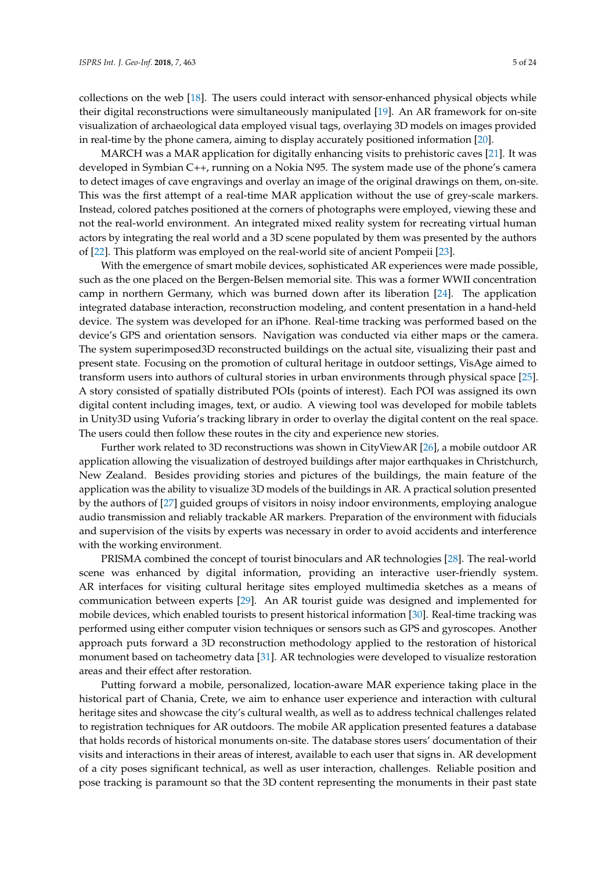collections on the web [\[18\]](#page-22-5). The users could interact with sensor-enhanced physical objects while their digital reconstructions were simultaneously manipulated [\[19\]](#page-22-6). An AR framework for on-site visualization of archaeological data employed visual tags, overlaying 3D models on images provided in real-time by the phone camera, aiming to display accurately positioned information [\[20\]](#page-22-7).

MARCH was a MAR application for digitally enhancing visits to prehistoric caves [\[21\]](#page-22-8). It was developed in Symbian C++, running on a Nokia N95. The system made use of the phone's camera to detect images of cave engravings and overlay an image of the original drawings on them, on-site. This was the first attempt of a real-time MAR application without the use of grey-scale markers. Instead, colored patches positioned at the corners of photographs were employed, viewing these and not the real-world environment. An integrated mixed reality system for recreating virtual human actors by integrating the real world and a 3D scene populated by them was presented by the authors of [\[22\]](#page-22-9). This platform was employed on the real-world site of ancient Pompeii [\[23\]](#page-22-10).

With the emergence of smart mobile devices, sophisticated AR experiences were made possible, such as the one placed on the Bergen-Belsen memorial site. This was a former WWII concentration camp in northern Germany, which was burned down after its liberation [\[24\]](#page-22-11). The application integrated database interaction, reconstruction modeling, and content presentation in a hand-held device. The system was developed for an iPhone. Real-time tracking was performed based on the device's GPS and orientation sensors. Navigation was conducted via either maps or the camera. The system superimposed3D reconstructed buildings on the actual site, visualizing their past and present state. Focusing on the promotion of cultural heritage in outdoor settings, VisAge aimed to transform users into authors of cultural stories in urban environments through physical space [\[25\]](#page-22-12). A story consisted of spatially distributed POIs (points of interest). Each POI was assigned its own digital content including images, text, or audio. A viewing tool was developed for mobile tablets in Unity3D using Vuforia's tracking library in order to overlay the digital content on the real space. The users could then follow these routes in the city and experience new stories.

Further work related to 3D reconstructions was shown in CityViewAR [\[26\]](#page-22-13), a mobile outdoor AR application allowing the visualization of destroyed buildings after major earthquakes in Christchurch, New Zealand. Besides providing stories and pictures of the buildings, the main feature of the application was the ability to visualize 3D models of the buildings in AR. A practical solution presented by the authors of [\[27\]](#page-22-14) guided groups of visitors in noisy indoor environments, employing analogue audio transmission and reliably trackable AR markers. Preparation of the environment with fiducials and supervision of the visits by experts was necessary in order to avoid accidents and interference with the working environment.

PRISMA combined the concept of tourist binoculars and AR technologies [\[28\]](#page-22-15). The real-world scene was enhanced by digital information, providing an interactive user-friendly system. AR interfaces for visiting cultural heritage sites employed multimedia sketches as a means of communication between experts [\[29\]](#page-22-16). An AR tourist guide was designed and implemented for mobile devices, which enabled tourists to present historical information [\[30\]](#page-23-0). Real-time tracking was performed using either computer vision techniques or sensors such as GPS and gyroscopes. Another approach puts forward a 3D reconstruction methodology applied to the restoration of historical monument based on tacheometry data [\[31\]](#page-23-1). AR technologies were developed to visualize restoration areas and their effect after restoration.

Putting forward a mobile, personalized, location-aware MAR experience taking place in the historical part of Chania, Crete, we aim to enhance user experience and interaction with cultural heritage sites and showcase the city's cultural wealth, as well as to address technical challenges related to registration techniques for AR outdoors. The mobile AR application presented features a database that holds records of historical monuments on-site. The database stores users' documentation of their visits and interactions in their areas of interest, available to each user that signs in. AR development of a city poses significant technical, as well as user interaction, challenges. Reliable position and pose tracking is paramount so that the 3D content representing the monuments in their past state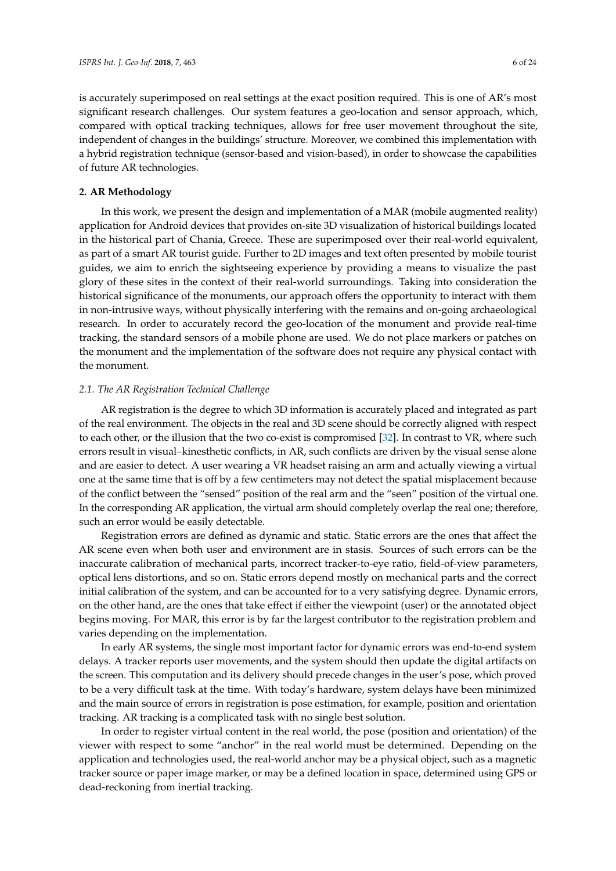is accurately superimposed on real settings at the exact position required. This is one of AR's most significant research challenges. Our system features a geo-location and sensor approach, which, compared with optical tracking techniques, allows for free user movement throughout the site, independent of changes in the buildings' structure. Moreover, we combined this implementation with a hybrid registration technique (sensor-based and vision-based), in order to showcase the capabilities of future AR technologies.

#### **2. AR Methodology**

In this work, we present the design and implementation of a MAR (mobile augmented reality) application for Android devices that provides on-site 3D visualization of historical buildings located in the historical part of Chania, Greece. These are superimposed over their real-world equivalent, as part of a smart AR tourist guide. Further to 2D images and text often presented by mobile tourist guides, we aim to enrich the sightseeing experience by providing a means to visualize the past glory of these sites in the context of their real-world surroundings. Taking into consideration the historical significance of the monuments, our approach offers the opportunity to interact with them in non-intrusive ways, without physically interfering with the remains and on-going archaeological research. In order to accurately record the geo-location of the monument and provide real-time tracking, the standard sensors of a mobile phone are used. We do not place markers or patches on the monument and the implementation of the software does not require any physical contact with the monument.

#### *2.1. The AR Registration Technical Challenge*

AR registration is the degree to which 3D information is accurately placed and integrated as part of the real environment. The objects in the real and 3D scene should be correctly aligned with respect to each other, or the illusion that the two co-exist is compromised [\[32\]](#page-23-2). In contrast to VR, where such errors result in visual–kinesthetic conflicts, in AR, such conflicts are driven by the visual sense alone and are easier to detect. A user wearing a VR headset raising an arm and actually viewing a virtual one at the same time that is off by a few centimeters may not detect the spatial misplacement because of the conflict between the "sensed" position of the real arm and the "seen" position of the virtual one. In the corresponding AR application, the virtual arm should completely overlap the real one; therefore, such an error would be easily detectable.

Registration errors are defined as dynamic and static. Static errors are the ones that affect the AR scene even when both user and environment are in stasis. Sources of such errors can be the inaccurate calibration of mechanical parts, incorrect tracker-to-eye ratio, field-of-view parameters, optical lens distortions, and so on. Static errors depend mostly on mechanical parts and the correct initial calibration of the system, and can be accounted for to a very satisfying degree. Dynamic errors, on the other hand, are the ones that take effect if either the viewpoint (user) or the annotated object begins moving. For MAR, this error is by far the largest contributor to the registration problem and varies depending on the implementation.

In early AR systems, the single most important factor for dynamic errors was end-to-end system delays. A tracker reports user movements, and the system should then update the digital artifacts on the screen. This computation and its delivery should precede changes in the user's pose, which proved to be a very difficult task at the time. With today's hardware, system delays have been minimized and the main source of errors in registration is pose estimation, for example, position and orientation tracking. AR tracking is a complicated task with no single best solution.

In order to register virtual content in the real world, the pose (position and orientation) of the viewer with respect to some "anchor" in the real world must be determined. Depending on the application and technologies used, the real-world anchor may be a physical object, such as a magnetic tracker source or paper image marker, or may be a defined location in space, determined using GPS or dead-reckoning from inertial tracking.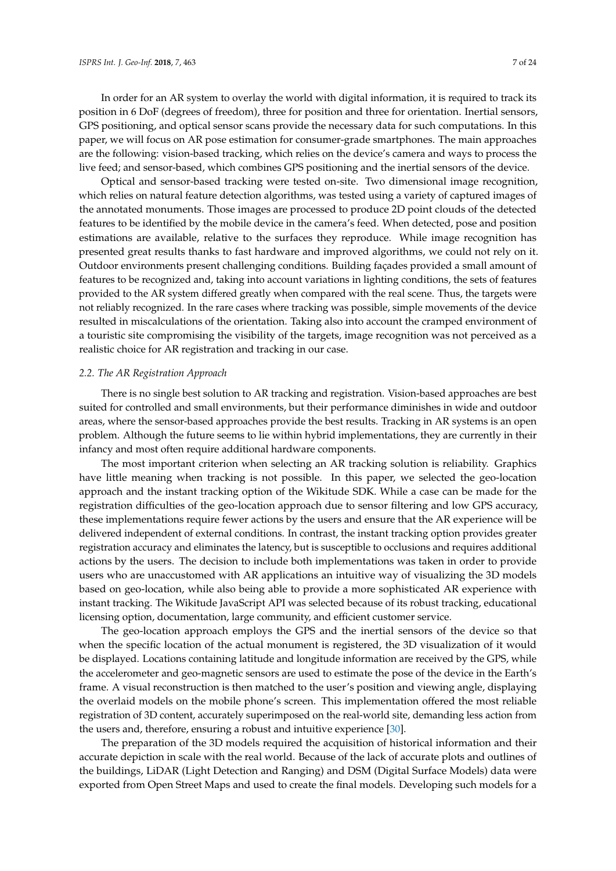In order for an AR system to overlay the world with digital information, it is required to track its position in 6 DoF (degrees of freedom), three for position and three for orientation. Inertial sensors, GPS positioning, and optical sensor scans provide the necessary data for such computations. In this paper, we will focus on AR pose estimation for consumer-grade smartphones. The main approaches are the following: vision-based tracking, which relies on the device's camera and ways to process the live feed; and sensor-based, which combines GPS positioning and the inertial sensors of the device.

Optical and sensor-based tracking were tested on-site. Two dimensional image recognition, which relies on natural feature detection algorithms, was tested using a variety of captured images of the annotated monuments. Those images are processed to produce 2D point clouds of the detected features to be identified by the mobile device in the camera's feed. When detected, pose and position estimations are available, relative to the surfaces they reproduce. While image recognition has presented great results thanks to fast hardware and improved algorithms, we could not rely on it. Outdoor environments present challenging conditions. Building façades provided a small amount of features to be recognized and, taking into account variations in lighting conditions, the sets of features provided to the AR system differed greatly when compared with the real scene. Thus, the targets were not reliably recognized. In the rare cases where tracking was possible, simple movements of the device resulted in miscalculations of the orientation. Taking also into account the cramped environment of a touristic site compromising the visibility of the targets, image recognition was not perceived as a realistic choice for AR registration and tracking in our case.

#### *2.2. The AR Registration Approach*

There is no single best solution to AR tracking and registration. Vision-based approaches are best suited for controlled and small environments, but their performance diminishes in wide and outdoor areas, where the sensor-based approaches provide the best results. Tracking in AR systems is an open problem. Although the future seems to lie within hybrid implementations, they are currently in their infancy and most often require additional hardware components.

The most important criterion when selecting an AR tracking solution is reliability. Graphics have little meaning when tracking is not possible. In this paper, we selected the geo-location approach and the instant tracking option of the Wikitude SDK. While a case can be made for the registration difficulties of the geo-location approach due to sensor filtering and low GPS accuracy, these implementations require fewer actions by the users and ensure that the AR experience will be delivered independent of external conditions. In contrast, the instant tracking option provides greater registration accuracy and eliminates the latency, but is susceptible to occlusions and requires additional actions by the users. The decision to include both implementations was taken in order to provide users who are unaccustomed with AR applications an intuitive way of visualizing the 3D models based on geo-location, while also being able to provide a more sophisticated AR experience with instant tracking. The Wikitude JavaScript API was selected because of its robust tracking, educational licensing option, documentation, large community, and efficient customer service.

The geo-location approach employs the GPS and the inertial sensors of the device so that when the specific location of the actual monument is registered, the 3D visualization of it would be displayed. Locations containing latitude and longitude information are received by the GPS, while the accelerometer and geo-magnetic sensors are used to estimate the pose of the device in the Earth's frame. A visual reconstruction is then matched to the user's position and viewing angle, displaying the overlaid models on the mobile phone's screen. This implementation offered the most reliable registration of 3D content, accurately superimposed on the real-world site, demanding less action from the users and, therefore, ensuring a robust and intuitive experience [\[30\]](#page-23-0).

The preparation of the 3D models required the acquisition of historical information and their accurate depiction in scale with the real world. Because of the lack of accurate plots and outlines of the buildings, LiDAR (Light Detection and Ranging) and DSM (Digital Surface Models) data were exported from Open Street Maps and used to create the final models. Developing such models for a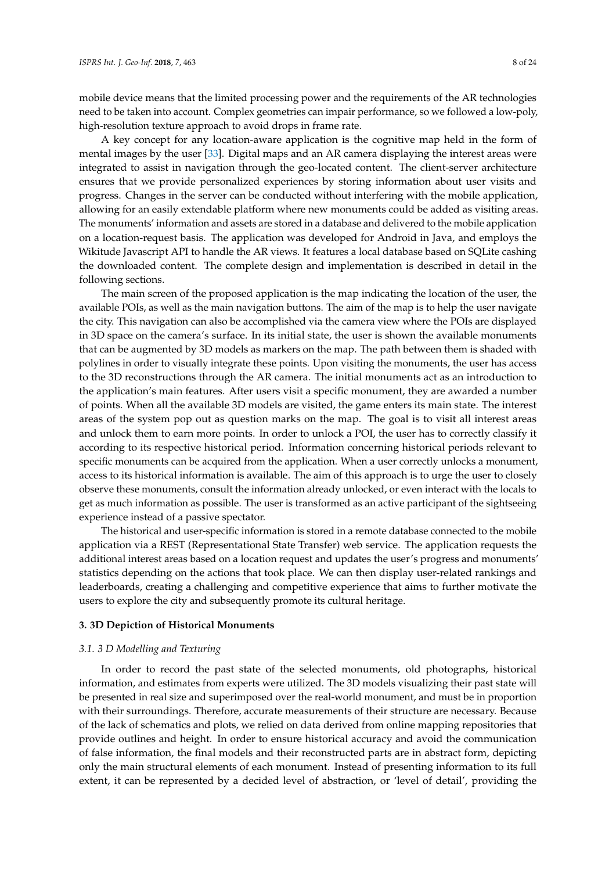mobile device means that the limited processing power and the requirements of the AR technologies need to be taken into account. Complex geometries can impair performance, so we followed a low-poly, high-resolution texture approach to avoid drops in frame rate.

A key concept for any location-aware application is the cognitive map held in the form of mental images by the user [\[33\]](#page-23-3). Digital maps and an AR camera displaying the interest areas were integrated to assist in navigation through the geo-located content. The client-server architecture ensures that we provide personalized experiences by storing information about user visits and progress. Changes in the server can be conducted without interfering with the mobile application, allowing for an easily extendable platform where new monuments could be added as visiting areas. The monuments' information and assets are stored in a database and delivered to the mobile application on a location-request basis. The application was developed for Android in Java, and employs the Wikitude Javascript API to handle the AR views. It features a local database based on SQLite cashing the downloaded content. The complete design and implementation is described in detail in the following sections.

The main screen of the proposed application is the map indicating the location of the user, the available POIs, as well as the main navigation buttons. The aim of the map is to help the user navigate the city. This navigation can also be accomplished via the camera view where the POIs are displayed in 3D space on the camera's surface. In its initial state, the user is shown the available monuments that can be augmented by 3D models as markers on the map. The path between them is shaded with polylines in order to visually integrate these points. Upon visiting the monuments, the user has access to the 3D reconstructions through the AR camera. The initial monuments act as an introduction to the application's main features. After users visit a specific monument, they are awarded a number of points. When all the available 3D models are visited, the game enters its main state. The interest areas of the system pop out as question marks on the map. The goal is to visit all interest areas and unlock them to earn more points. In order to unlock a POI, the user has to correctly classify it according to its respective historical period. Information concerning historical periods relevant to specific monuments can be acquired from the application. When a user correctly unlocks a monument, access to its historical information is available. The aim of this approach is to urge the user to closely observe these monuments, consult the information already unlocked, or even interact with the locals to get as much information as possible. The user is transformed as an active participant of the sightseeing experience instead of a passive spectator.

The historical and user-specific information is stored in a remote database connected to the mobile application via a REST (Representational State Transfer) web service. The application requests the additional interest areas based on a location request and updates the user's progress and monuments' statistics depending on the actions that took place. We can then display user-related rankings and leaderboards, creating a challenging and competitive experience that aims to further motivate the users to explore the city and subsequently promote its cultural heritage.

#### **3. 3D Depiction of Historical Monuments**

#### *3.1. 3 D Modelling and Texturing*

In order to record the past state of the selected monuments, old photographs, historical information, and estimates from experts were utilized. The 3D models visualizing their past state will be presented in real size and superimposed over the real-world monument, and must be in proportion with their surroundings. Therefore, accurate measurements of their structure are necessary. Because of the lack of schematics and plots, we relied on data derived from online mapping repositories that provide outlines and height. In order to ensure historical accuracy and avoid the communication of false information, the final models and their reconstructed parts are in abstract form, depicting only the main structural elements of each monument. Instead of presenting information to its full extent, it can be represented by a decided level of abstraction, or 'level of detail', providing the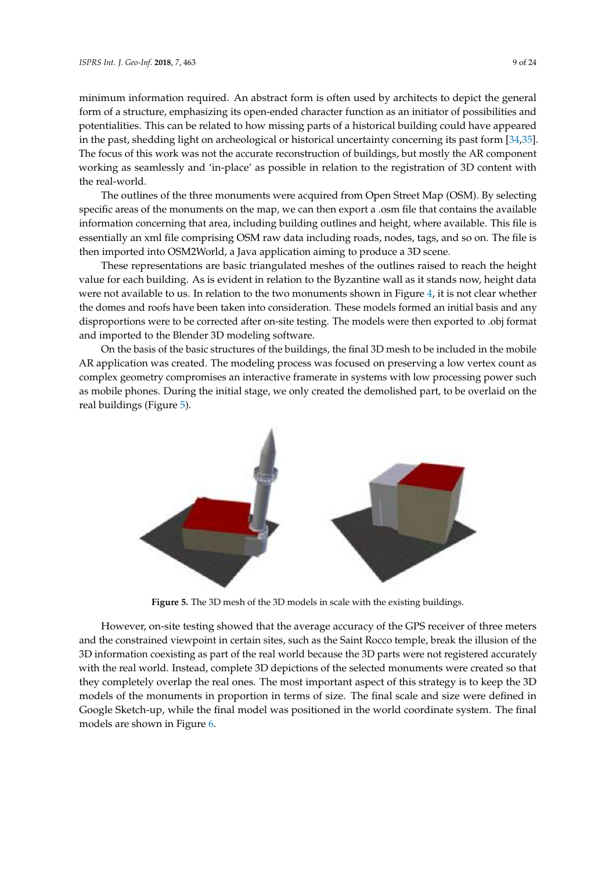minimum information required. An abstract form is often used by architects to depict the general form of a structure, emphasizing its open-ended character function as an initiator of possibilities and potentialities. This can be related to how missing parts of a historical building could have appeared in the past, shedding light on archeological or historical uncertainty concerning its past form [\[34,](#page-23-4)[35\]](#page-23-5). The focus of this work was not the accurate reconstruction of buildings, but mostly the AR component working as seamlessly and 'in-place' as possible in relation to the registration of 3D content with the real-world.

The outlines of the three monuments were acquired from Open Street Map (OSM). By selecting specific areas of the monuments on the map, we can then export a .osm file that contains the available information concerning that area, including building outlines and height, where available. This file is essentially an xml file comprising OSM raw data including roads, nodes, tags, and so on. The file is then imported into OSM2World, a Java application aiming to produce a 3D scene.

These representations are basic triangulated meshes of the outlines raised to reach the height value for each building. As is evident in relation to the Byzantine wall as it stands now, height data were not available to us. In relation to the two monuments shown in Figure [4,](#page-3-0) it is not clear whether the domes and roofs have been taken into consideration. These models formed an initial basis and any disproportions were to be corrected after on-site testing. The models were then exported to .obj format and imported to the Blender 3D modeling software.

On the basis of the basic structures of the buildings, the final 3D mesh to be included in the mobile AR application was created. The modeling process was focused on preserving a low vertex count as complex geometry compromises an interactive framerate in systems with low processing power such as mobile phones. During the initial stage, we only created the demolished part, to be overlaid on the real buildings (Figure [5\)](#page-8-0).

<span id="page-8-0"></span>

**Figure 5.** The 3D mesh of the 3D models in scale with the existing buildings.

However, on-site testing showed that the average accuracy of the GPS receiver of three meters and the constrained viewpoint in certain sites, such as the Saint Rocco temple, break the illusion of the 3D information coexisting as part of the real world because the 3D parts were not registered accurately with the real world. Instead, complete 3D depictions of the selected monuments were created so that they completely overlap the real ones. The most important aspect of this strategy is to keep the 3D models of the monuments in proportion in terms of size. The final scale and size were defined in Google Sketch-up, while the final model was positioned in the world coordinate system. The final models are shown in Figure [6.](#page-9-0)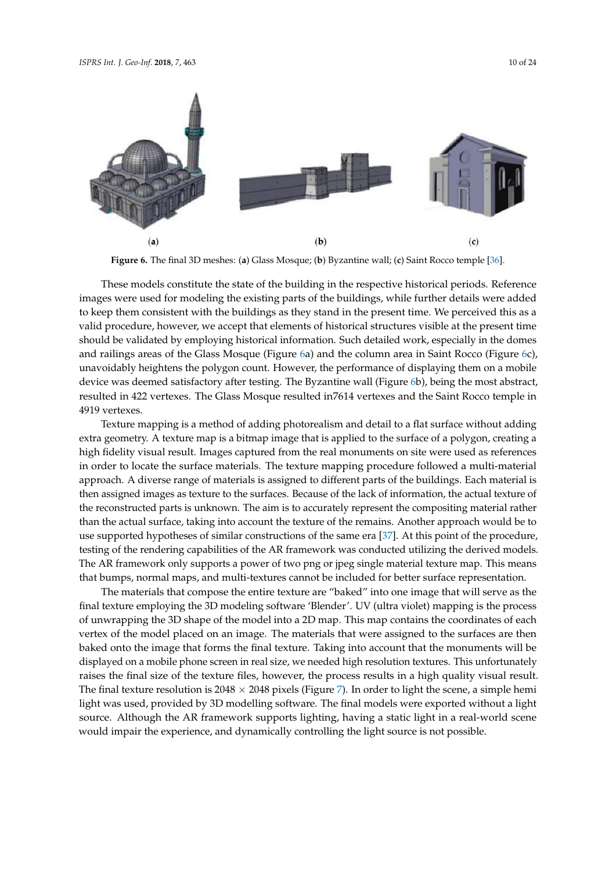<span id="page-9-0"></span>

**Figure 6.** The final 3D meshes: (**a**) Glass Mosque; (**b**) Byzantine wall; (**c**) Saint Rocco temple [\[36\]](#page-23-6).

These models constitute the state of the building in the respective historical periods. Reference images were used for modeling the existing parts of the buildings, while further details were added to keep them consistent with the buildings as they stand in the present time. We perceived this as a valid procedure, however, we accept that elements of historical structures visible at the present time should be validated by employing historical information. Such detailed work, especially in the domes and railings areas of the Glass Mosque (Figure [6a](#page-9-0)) and the column area in Saint Rocco (Figure [6c](#page-9-0)), unavoidably heightens the polygon count. However, the performance of displaying them on a mobile device was deemed satisfactory after testing. The Byzantine wall (Figure [6b](#page-9-0)), being the most abstract, resulted in 422 vertexes. The Glass Mosque resulted in7614 vertexes and the Saint Rocco temple in 4919 vertexes.

Texture mapping is a method of adding photorealism and detail to a flat surface without adding extra geometry. A texture map is a bitmap image that is applied to the surface of a polygon, creating a high fidelity visual result. Images captured from the real monuments on site were used as references in order to locate the surface materials. The texture mapping procedure followed a multi-material approach. A diverse range of materials is assigned to different parts of the buildings. Each material is then assigned images as texture to the surfaces. Because of the lack of information, the actual texture of the reconstructed parts is unknown. The aim is to accurately represent the compositing material rather than the actual surface, taking into account the texture of the remains. Another approach would be to use supported hypotheses of similar constructions of the same era [\[37\]](#page-23-7). At this point of the procedure, testing of the rendering capabilities of the AR framework was conducted utilizing the derived models. The AR framework only supports a power of two png or jpeg single material texture map. This means that bumps, normal maps, and multi-textures cannot be included for better surface representation.

The materials that compose the entire texture are "baked" into one image that will serve as the final texture employing the 3D modeling software 'Blender'. UV (ultra violet) mapping is the process of unwrapping the 3D shape of the model into a 2D map. This map contains the coordinates of each vertex of the model placed on an image. The materials that were assigned to the surfaces are then baked onto the image that forms the final texture. Taking into account that the monuments will be displayed on a mobile phone screen in real size, we needed high resolution textures. This unfortunately raises the final size of the texture files, however, the process results in a high quality visual result. The final texture resolution is  $2048 \times 2048$  pixels (Figure [7\)](#page-10-0). In order to light the scene, a simple hemi light was used, provided by 3D modelling software. The final models were exported without a light source. Although the AR framework supports lighting, having a static light in a real-world scene would impair the experience, and dynamically controlling the light source is not possible.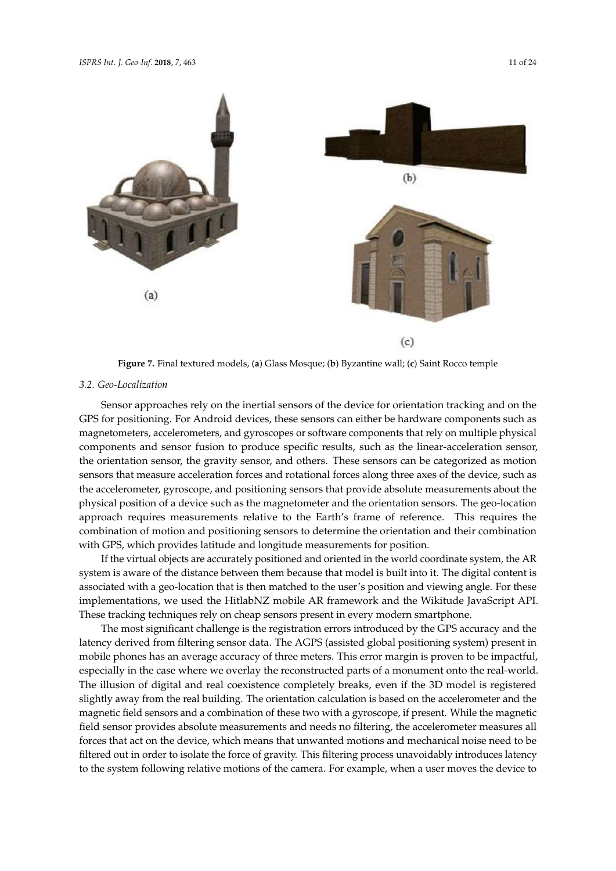<span id="page-10-0"></span>

**Figure 7.** Final textured models, (**a**) Glass Mosque; (**b**) Byzantine wall; (**c**) Saint Rocco temple

## *3.2. Geo-Localization*

Sensor approaches rely on the inertial sensors of the device for orientation tracking and on the GPS for positioning. For Android devices, these sensors can either be hardware components such as magnetometers, accelerometers, and gyroscopes or software components that rely on multiple physical components and sensor fusion to produce specific results, such as the linear-acceleration sensor, the orientation sensor, the gravity sensor, and others. These sensors can be categorized as motion sensors that measure acceleration forces and rotational forces along three axes of the device, such as the accelerometer, gyroscope, and positioning sensors that provide absolute measurements about the physical position of a device such as the magnetometer and the orientation sensors. The geo-location approach requires measurements relative to the Earth's frame of reference. This requires the combination of motion and positioning sensors to determine the orientation and their combination with GPS, which provides latitude and longitude measurements for position.

If the virtual objects are accurately positioned and oriented in the world coordinate system, the AR system is aware of the distance between them because that model is built into it. The digital content is associated with a geo-location that is then matched to the user's position and viewing angle. For these implementations, we used the HitlabNZ mobile AR framework and the Wikitude JavaScript API. These tracking techniques rely on cheap sensors present in every modern smartphone.

The most significant challenge is the registration errors introduced by the GPS accuracy and the latency derived from filtering sensor data. The AGPS (assisted global positioning system) present in mobile phones has an average accuracy of three meters. This error margin is proven to be impactful, especially in the case where we overlay the reconstructed parts of a monument onto the real-world. The illusion of digital and real coexistence completely breaks, even if the 3D model is registered slightly away from the real building. The orientation calculation is based on the accelerometer and the magnetic field sensors and a combination of these two with a gyroscope, if present. While the magnetic field sensor provides absolute measurements and needs no filtering, the accelerometer measures all forces that act on the device, which means that unwanted motions and mechanical noise need to be filtered out in order to isolate the force of gravity. This filtering process unavoidably introduces latency to the system following relative motions of the camera. For example, when a user moves the device to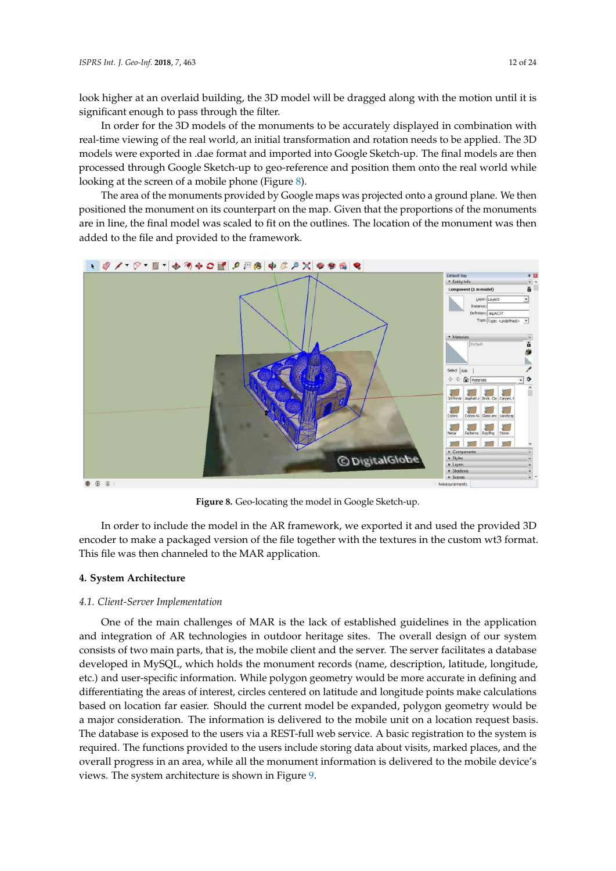look higher at an overlaid building, the 3D model will be dragged along with the motion until it is significant enough to pass through the filter.

In order for the 3D models of the monuments to be accurately displayed in combination with real-time viewing of the real world, an initial transformation and rotation needs to be applied. The 3D models were exported in .dae format and imported into Google Sketch-up. The final models are then processed through Google Sketch-up to geo-reference and position them onto the real world while looking at the screen of a mobile phone (Figure [8\)](#page-11-0).

The area of the monuments provided by Google maps was projected onto a ground plane. We then positioned the monument on its counterpart on the map. Given that the proportions of the monuments are in line, the final model was scaled to fit on the outlines. The location of the monument was then added to the file and provided to the framework.

<span id="page-11-0"></span>

**Figure 8.** Geo-locating the model in Google Sketch-up.

In order to include the model in the AR framework, we exported it and used the provided 3D encoder to make a packaged version of the file together with the textures in the custom wt3 format. This file was then channeled to the MAR application.

## **4. System Architecture**

## *4.1. Client-Server Implementation*

One of the main challenges of MAR is the lack of established guidelines in the application and integration of AR technologies in outdoor heritage sites. The overall design of our system consists of two main parts, that is, the mobile client and the server. The server facilitates a database developed in MySQL, which holds the monument records (name, description, latitude, longitude, etc.) and user-specific information. While polygon geometry would be more accurate in defining and differentiating the areas of interest, circles centered on latitude and longitude points make calculations based on location far easier. Should the current model be expanded, polygon geometry would be a major consideration. The information is delivered to the mobile unit on a location request basis. The database is exposed to the users via a REST-full web service. A basic registration to the system is required. The functions provided to the users include storing data about visits, marked places, and the overall progress in an area, while all the monument information is delivered to the mobile device's views. The system architecture is shown in Figure [9.](#page-12-0)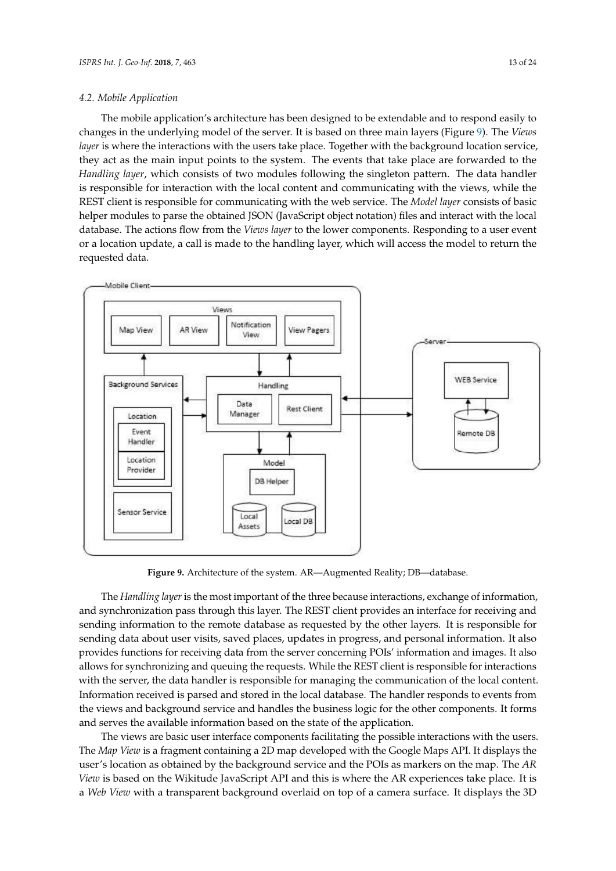## *4.2. Mobile Application*

The mobile application's architecture has been designed to be extendable and to respond easily to changes in the underlying model of the server. It is based on three main layers (Figure [9\)](#page-12-0). The *Views layer* is where the interactions with the users take place. Together with the background location service, they act as the main input points to the system. The events that take place are forwarded to the *Handling layer*, which consists of two modules following the singleton pattern. The data handler is responsible for interaction with the local content and communicating with the views, while the REST client is responsible for communicating with the web service. The *Model layer* consists of basic helper modules to parse the obtained JSON (JavaScript object notation) files and interact with the local database. The actions flow from the *Views layer* to the lower components. Responding to a user event or a location update, a call is made to the handling layer, which will access the model to return the requested data.

<span id="page-12-0"></span>

**Figure 9.** Architecture of the system. AR—Augmented Reality; DB—database.

The *Handling layer* is the most important of the three because interactions, exchange of information, and synchronization pass through this layer. The REST client provides an interface for receiving and sending information to the remote database as requested by the other layers. It is responsible for sending data about user visits, saved places, updates in progress, and personal information. It also provides functions for receiving data from the server concerning POIs' information and images. It also allows for synchronizing and queuing the requests. While the REST client is responsible for interactions with the server, the data handler is responsible for managing the communication of the local content. Information received is parsed and stored in the local database. The handler responds to events from the views and background service and handles the business logic for the other components. It forms and serves the available information based on the state of the application.

The views are basic user interface components facilitating the possible interactions with the users. The *Map View* is a fragment containing a 2D map developed with the Google Maps API. It displays the user's location as obtained by the background service and the POIs as markers on the map. The *AR View* is based on the Wikitude JavaScript API and this is where the AR experiences take place. It is a *Web View* with a transparent background overlaid on top of a camera surface. It displays the 3D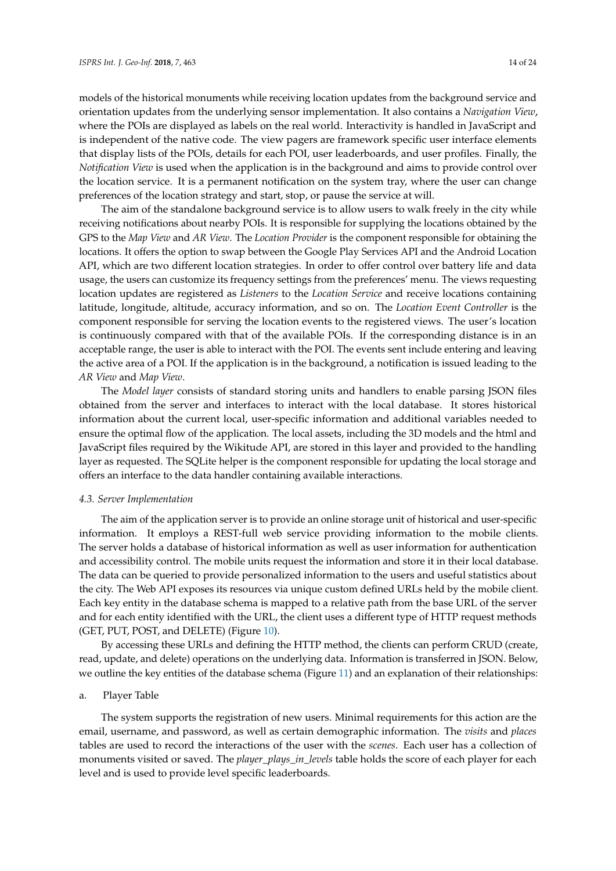models of the historical monuments while receiving location updates from the background service and orientation updates from the underlying sensor implementation. It also contains a *Navigation View*, where the POIs are displayed as labels on the real world. Interactivity is handled in JavaScript and is independent of the native code. The view pagers are framework specific user interface elements that display lists of the POIs, details for each POI, user leaderboards, and user profiles. Finally, the *Notification View* is used when the application is in the background and aims to provide control over the location service. It is a permanent notification on the system tray, where the user can change preferences of the location strategy and start, stop, or pause the service at will.

The aim of the standalone background service is to allow users to walk freely in the city while receiving notifications about nearby POIs. It is responsible for supplying the locations obtained by the GPS to the *Map View* and *AR View*. The *Location Provider* is the component responsible for obtaining the locations. It offers the option to swap between the Google Play Services API and the Android Location API, which are two different location strategies. In order to offer control over battery life and data usage, the users can customize its frequency settings from the preferences' menu. The views requesting location updates are registered as *Listeners* to the *Location Service* and receive locations containing latitude, longitude, altitude, accuracy information, and so on. The *Location Event Controller* is the component responsible for serving the location events to the registered views. The user's location is continuously compared with that of the available POIs. If the corresponding distance is in an acceptable range, the user is able to interact with the POI. The events sent include entering and leaving the active area of a POI. If the application is in the background, a notification is issued leading to the *AR View* and *Map View*.

The *Model layer* consists of standard storing units and handlers to enable parsing JSON files obtained from the server and interfaces to interact with the local database. It stores historical information about the current local, user-specific information and additional variables needed to ensure the optimal flow of the application. The local assets, including the 3D models and the html and JavaScript files required by the Wikitude API, are stored in this layer and provided to the handling layer as requested. The SQLite helper is the component responsible for updating the local storage and offers an interface to the data handler containing available interactions.

## *4.3. Server Implementation*

The aim of the application server is to provide an online storage unit of historical and user-specific information. It employs a REST-full web service providing information to the mobile clients. The server holds a database of historical information as well as user information for authentication and accessibility control. The mobile units request the information and store it in their local database. The data can be queried to provide personalized information to the users and useful statistics about the city. The Web API exposes its resources via unique custom defined URLs held by the mobile client. Each key entity in the database schema is mapped to a relative path from the base URL of the server and for each entity identified with the URL, the client uses a different type of HTTP request methods (GET, PUT, POST, and DELETE) (Figure [10\)](#page-14-0).

By accessing these URLs and defining the HTTP method, the clients can perform CRUD (create, read, update, and delete) operations on the underlying data. Information is transferred in JSON. Below, we outline the key entities of the database schema (Figure [11\)](#page-14-1) and an explanation of their relationships:

## a. Player Table

The system supports the registration of new users. Minimal requirements for this action are the email, username, and password, as well as certain demographic information. The *visits* and *places* tables are used to record the interactions of the user with the *scenes*. Each user has a collection of monuments visited or saved. The *player\_plays\_in\_levels* table holds the score of each player for each level and is used to provide level specific leaderboards.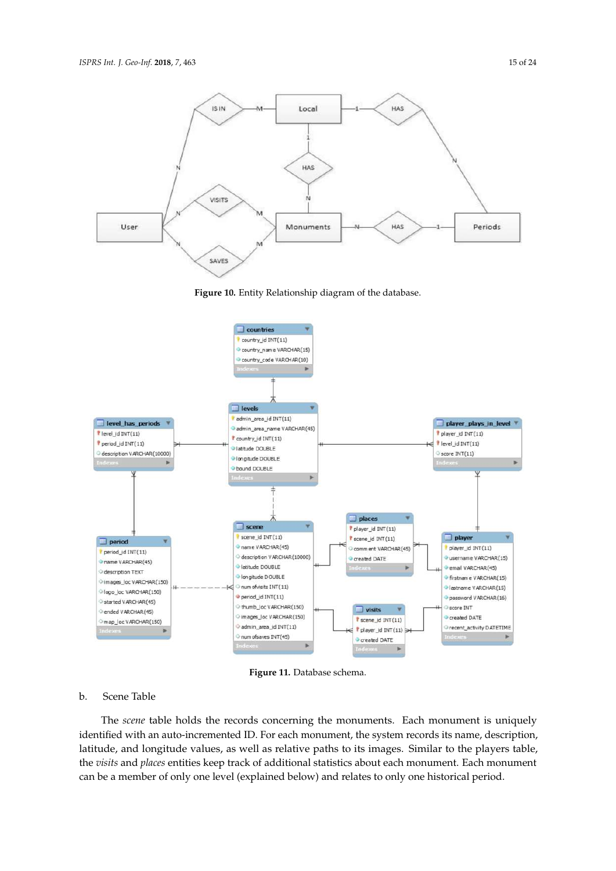<span id="page-14-0"></span>

**Figure 10.** Entity Relationship diagram of the database.

<span id="page-14-1"></span>

**Figure 11.** Database schema.

# b. Scene Table

The *scene* table holds the records concerning the monuments. Each monument is uniquely identified with an auto-incremented ID. For each monument, the system records its name, description, latitude, and longitude values, as well as relative paths to its images. Similar to the players table, the *visits* and *places* entities keep track of additional statistics about each monument. Each monument can be a member of only one level (explained below) and relates to only one historical period.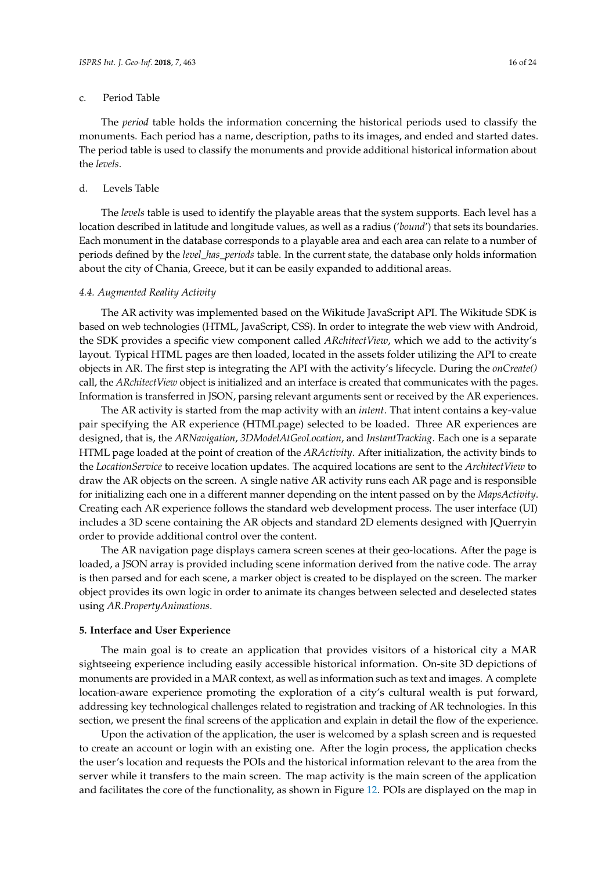## c. Period Table

The *period* table holds the information concerning the historical periods used to classify the monuments. Each period has a name, description, paths to its images, and ended and started dates. The period table is used to classify the monuments and provide additional historical information about the *levels*.

## d. Levels Table

The *levels* table is used to identify the playable areas that the system supports. Each level has a location described in latitude and longitude values, as well as a radius ('*bound*') that sets its boundaries. Each monument in the database corresponds to a playable area and each area can relate to a number of periods defined by the *level\_has\_periods* table. In the current state, the database only holds information about the city of Chania, Greece, but it can be easily expanded to additional areas.

### *4.4. Augmented Reality Activity*

The AR activity was implemented based on the Wikitude JavaScript API. The Wikitude SDK is based on web technologies (HTML, JavaScript, CSS). In order to integrate the web view with Android, the SDK provides a specific view component called *ARchitectView*, which we add to the activity's layout. Typical HTML pages are then loaded, located in the assets folder utilizing the API to create objects in AR. The first step is integrating the API with the activity's lifecycle. During the *onCreate()* call, the *ARchitectView* object is initialized and an interface is created that communicates with the pages. Information is transferred in JSON, parsing relevant arguments sent or received by the AR experiences.

The AR activity is started from the map activity with an *intent*. That intent contains a key-value pair specifying the AR experience (HTMLpage) selected to be loaded. Three AR experiences are designed, that is, the *ARNavigation*, *3DModelAtGeoLocation*, and *InstantTracking*. Each one is a separate HTML page loaded at the point of creation of the *ARActivity*. After initialization, the activity binds to the *LocationService* to receive location updates. The acquired locations are sent to the *ArchitectView* to draw the AR objects on the screen. A single native AR activity runs each AR page and is responsible for initializing each one in a different manner depending on the intent passed on by the *MapsActivity*. Creating each AR experience follows the standard web development process. The user interface (UI) includes a 3D scene containing the AR objects and standard 2D elements designed with JQuerryin order to provide additional control over the content.

The AR navigation page displays camera screen scenes at their geo-locations. After the page is loaded, a JSON array is provided including scene information derived from the native code. The array is then parsed and for each scene, a marker object is created to be displayed on the screen. The marker object provides its own logic in order to animate its changes between selected and deselected states using *AR.PropertyAnimations*.

#### **5. Interface and User Experience**

The main goal is to create an application that provides visitors of a historical city a MAR sightseeing experience including easily accessible historical information. On-site 3D depictions of monuments are provided in a MAR context, as well as information such as text and images. A complete location-aware experience promoting the exploration of a city's cultural wealth is put forward, addressing key technological challenges related to registration and tracking of AR technologies. In this section, we present the final screens of the application and explain in detail the flow of the experience.

Upon the activation of the application, the user is welcomed by a splash screen and is requested to create an account or login with an existing one. After the login process, the application checks the user's location and requests the POIs and the historical information relevant to the area from the server while it transfers to the main screen. The map activity is the main screen of the application and facilitates the core of the functionality, as shown in Figure [12.](#page-16-0) POIs are displayed on the map in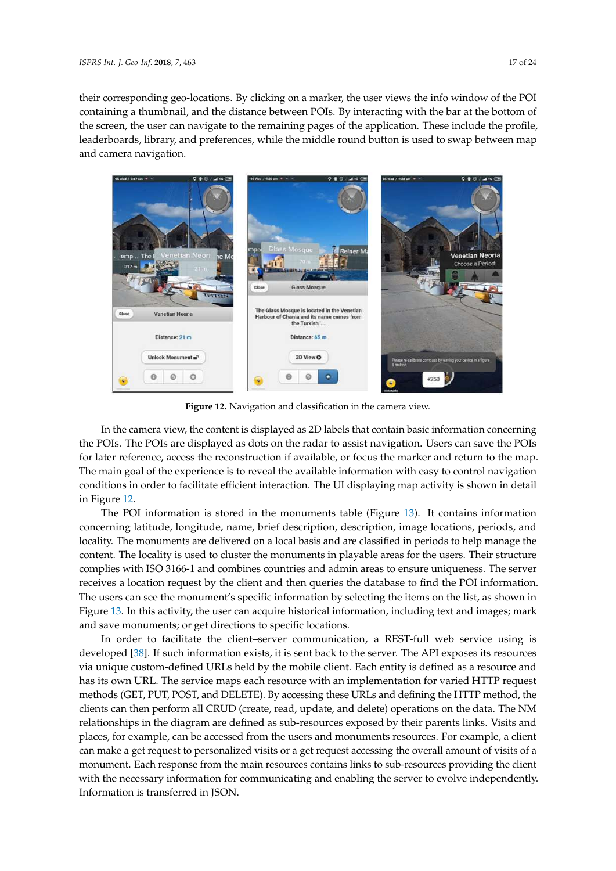their corresponding geo-locations. By clicking on a marker, the user views the info window of the POI containing a thumbnail, and the distance between POIs. By interacting with the bar at the bottom of the screen, the user can navigate to the remaining pages of the application. These include the profile, leaderboards, library, and preferences, while the middle round button is used to swap between map and camera navigation.

<span id="page-16-0"></span>

**Figure 12.** Navigation and classification in the camera view.

In the camera view, the content is displayed as 2D labels that contain basic information concerning the POIs. The POIs are displayed as dots on the radar to assist navigation. Users can save the POIs for later reference, access the reconstruction if available, or focus the marker and return to the map. The main goal of the experience is to reveal the available information with easy to control navigation conditions in order to facilitate efficient interaction. The UI displaying map activity is shown in detail in Figure [12.](#page-16-0)

The POI information is stored in the monuments table (Figure [13\)](#page-17-0). It contains information concerning latitude, longitude, name, brief description, description, image locations, periods, and locality. The monuments are delivered on a local basis and are classified in periods to help manage the content. The locality is used to cluster the monuments in playable areas for the users. Their structure complies with ISO 3166-1 and combines countries and admin areas to ensure uniqueness. The server receives a location request by the client and then queries the database to find the POI information. The users can see the monument's specific information by selecting the items on the list, as shown in Figure [13.](#page-17-0) In this activity, the user can acquire historical information, including text and images; mark and save monuments; or get directions to specific locations.

In order to facilitate the client–server communication, a REST-full web service using is developed [\[38\]](#page-23-8). If such information exists, it is sent back to the server. The API exposes its resources via unique custom-defined URLs held by the mobile client. Each entity is defined as a resource and has its own URL. The service maps each resource with an implementation for varied HTTP request methods (GET, PUT, POST, and DELETE). By accessing these URLs and defining the HTTP method, the clients can then perform all CRUD (create, read, update, and delete) operations on the data. The NM relationships in the diagram are defined as sub-resources exposed by their parents links. Visits and places, for example, can be accessed from the users and monuments resources. For example, a client can make a get request to personalized visits or a get request accessing the overall amount of visits of a monument. Each response from the main resources contains links to sub-resources providing the client with the necessary information for communicating and enabling the server to evolve independently. Information is transferred in JSON.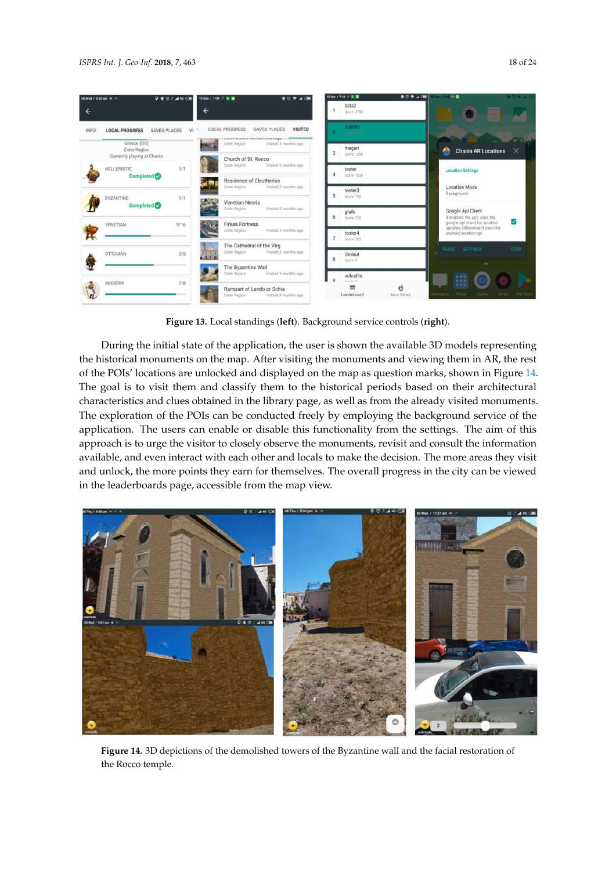<span id="page-17-0"></span>

| 05 Wed / 9:30 am $\approx$ - | 9.6074460                                                  | 15 Sat / 7:09 / 配置<br>$+0 + 40$                                                             | 15 Sat / 712 / N B<br>中国中国国                                                                                            | 15 MHZ 5 16 16 17                              |
|------------------------------|------------------------------------------------------------|---------------------------------------------------------------------------------------------|------------------------------------------------------------------------------------------------------------------------|------------------------------------------------|
| $\leftarrow$                 |                                                            | ←                                                                                           | beta2<br>Score: 3750                                                                                                   |                                                |
| <b>INFO</b>                  | <b>LOCAL PROGRESS</b><br><b>SAVED PLACES</b>               | <b>LOCAL PROGRESS</b><br>SAVED PLACES<br><b>VISITED</b><br><b>VI</b>                        | Sukrate<br><b>Service</b>                                                                                              |                                                |
|                              | Greece (GR)<br>Crete Region<br>Currently playing at Chania | Surface to the financial of fundation of the higher<br>Visited 3 months ago<br>Crete Region | megan<br>$\mathfrak{p}$<br>Score: 1250                                                                                 | - 30<br>Chania AR Locations $\times$<br>Æħ     |
|                              | HELLENISTIC<br>1/1<br>Completed <sup>®</sup>               | Church of St. Rocco<br>Visited 5 months ago.<br>Crete Region                                | tester<br>Score: 1000                                                                                                  | <b>Location Settings</b>                       |
|                              |                                                            | Residence of Eleutherios<br>Crete Region<br>Visited 5 months ago                            | tester3<br>5                                                                                                           | Location Mode<br>Background                    |
|                              | <b>BYZANTINE</b><br>1/1<br>Completed <sup>2</sup>          | Venetian Neoria<br>Crete Region<br>cos affinonts battlef<br>$\equiv$                        | Score: 750<br>glafk                                                                                                    | Google Api Client                              |
|                              | 9/16<br>VENETIAN                                           | <b>Firkas Fortress</b><br>Visited 3 months ago<br>Crete Region                              | if enabled the app uses the<br>6<br>Score: 750<br>◡<br>google api client for location<br>updates.Otherwise it uses the |                                                |
|                              |                                                            | il A<br>The Cathedral of the Virg                                                           | tester4<br>Score: 500                                                                                                  | android location api                           |
|                              | <b>OTTOMAN</b><br>3/5                                      | Critte Region<br>Walted 3 months ago<br>雅子                                                  | Umlaut<br>я<br>Score: 0                                                                                                | <b>HAUGE SETTINGS</b><br><b>STOP</b><br>$\sim$ |
|                              | 7/8<br>MODERN                                              | The Byzantine Wall<br>Crate Region<br>Visited 3 months ago                                  | sokraths<br>Printed                                                                                                    | 111                                            |
|                              |                                                            | Rampart of Lando or Schia<br>Critte Region<br>Visited 4 months ago                          | 畺<br>U<br>Leaderboard<br>Mont Visited                                                                                  | 1.11<br>Play Store                             |

**Figure 13.** Local standings (**left**). Background service controls (**right**).

During the initial state of the application, the user is shown the available 3D models representing the historical monuments on the map. After visiting the monuments and viewing them in AR, the rest of the POIs' locations are unlocked and displayed on the map as question marks, shown in Figure [14.](#page-17-1) The goal is to visit them and classify them to the historical periods based on their architectural characteristics and clues obtained in the library page, as well as from the already visited monuments. The exploration of the POIs can be conducted freely by employing the background service of the application. The users can enable or disable this functionality from the settings. The aim of this approach is to urge the visitor to closely observe the monuments, revisit and consult the information available, and even interact with each other and locals to make the decision. The more areas they visit and unlock, the more points they earn for themselves. The overall progress in the city can be viewed in the leaderboards page, accessible from the map view.

<span id="page-17-1"></span>

**Figure 14.** 3D depictions of the demolished towers of the Byzantine wall and the facial restoration of the Rocco temple.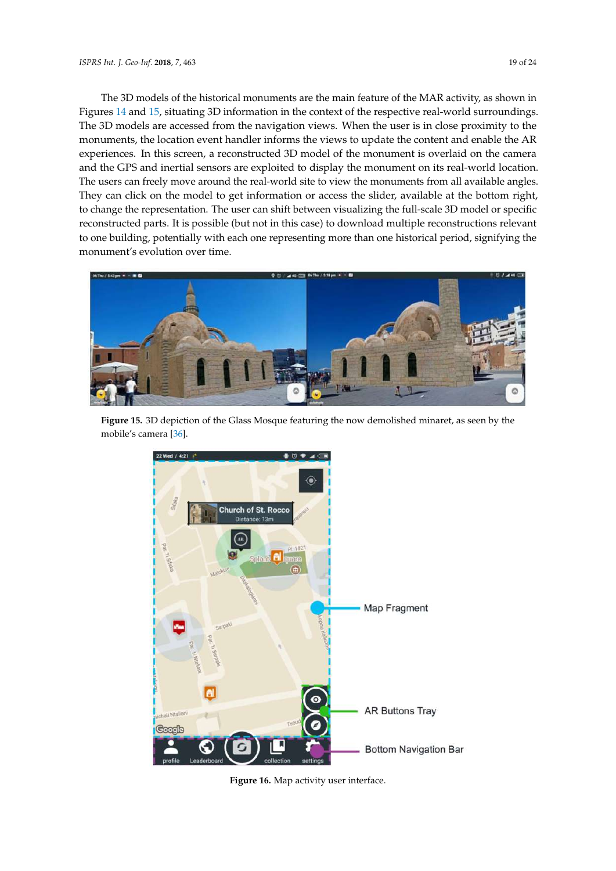The 3D models of the historical monuments are the main feature of the MAR activity, as shown in Figures [14](#page-17-1) and [15,](#page-18-0) situating 3D information in the context of the respective real-world surroundings. The 3D models are accessed from the navigation views. When the user is in close proximity to the monuments, the location event handler informs the views to update the content and enable the AR experiences. In this screen, a reconstructed 3D model of the monument is overlaid on the camera and the GPS and inertial sensors are exploited to display the monument on its real-world location. The users can freely move around the real-world site to view the monuments from all available angles. They can click on the model to get information or access the slider, available at the bottom right, to change the representation. The user can shift between visualizing the full-scale 3D model or specific reconstructed parts. It is possible (but not in this case) to download multiple reconstructions relevant to one building, potentially with each one representing more than one historical period, signifying the monument's evolution over time.

<span id="page-18-0"></span>

**Figure 15.** 3D depiction of the Glass Mosque featuring the now demolished minaret, as seen by the mobile's camera [\[36\]](#page-23-6).

<span id="page-18-1"></span>

**Figure 16.** Map activity user interface.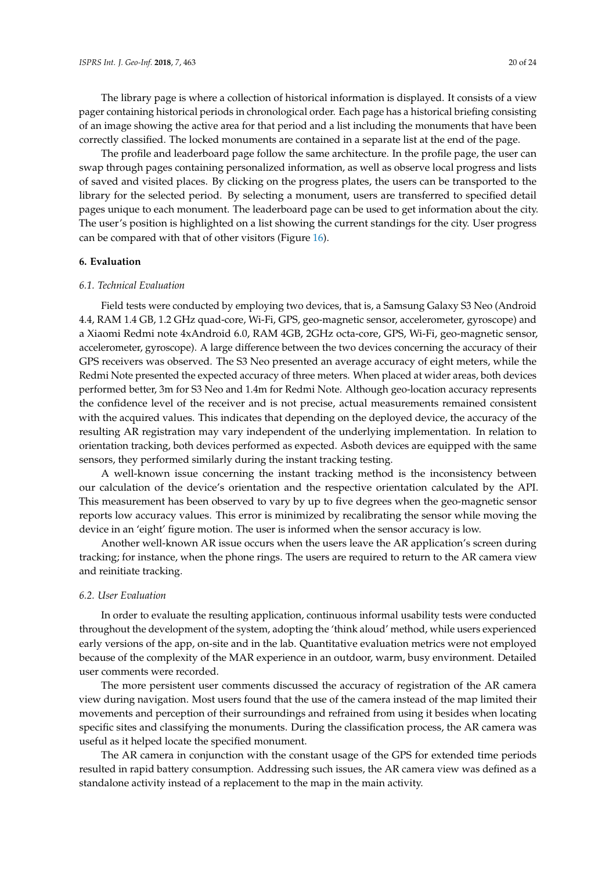The library page is where a collection of historical information is displayed. It consists of a view pager containing historical periods in chronological order. Each page has a historical briefing consisting of an image showing the active area for that period and a list including the monuments that have been correctly classified. The locked monuments are contained in a separate list at the end of the page.

The profile and leaderboard page follow the same architecture. In the profile page, the user can swap through pages containing personalized information, as well as observe local progress and lists of saved and visited places. By clicking on the progress plates, the users can be transported to the library for the selected period. By selecting a monument, users are transferred to specified detail pages unique to each monument. The leaderboard page can be used to get information about the city. The user's position is highlighted on a list showing the current standings for the city. User progress can be compared with that of other visitors (Figure [16\)](#page-18-1).

#### **6. Evaluation**

#### *6.1. Technical Evaluation*

Field tests were conducted by employing two devices, that is, a Samsung Galaxy S3 Neo (Android 4.4, RAM 1.4 GB, 1.2 GHz quad-core, Wi-Fi, GPS, geo-magnetic sensor, accelerometer, gyroscope) and a Xiaomi Redmi note 4xAndroid 6.0, RAM 4GB, 2GHz octa-core, GPS, Wi-Fi, geo-magnetic sensor, accelerometer, gyroscope). A large difference between the two devices concerning the accuracy of their GPS receivers was observed. The S3 Neo presented an average accuracy of eight meters, while the Redmi Note presented the expected accuracy of three meters. When placed at wider areas, both devices performed better, 3m for S3 Neo and 1.4m for Redmi Note. Although geo-location accuracy represents the confidence level of the receiver and is not precise, actual measurements remained consistent with the acquired values. This indicates that depending on the deployed device, the accuracy of the resulting AR registration may vary independent of the underlying implementation. In relation to orientation tracking, both devices performed as expected. Asboth devices are equipped with the same sensors, they performed similarly during the instant tracking testing.

A well-known issue concerning the instant tracking method is the inconsistency between our calculation of the device's orientation and the respective orientation calculated by the API. This measurement has been observed to vary by up to five degrees when the geo-magnetic sensor reports low accuracy values. This error is minimized by recalibrating the sensor while moving the device in an 'eight' figure motion. The user is informed when the sensor accuracy is low.

Another well-known AR issue occurs when the users leave the AR application's screen during tracking; for instance, when the phone rings. The users are required to return to the AR camera view and reinitiate tracking.

#### *6.2. User Evaluation*

In order to evaluate the resulting application, continuous informal usability tests were conducted throughout the development of the system, adopting the 'think aloud' method, while users experienced early versions of the app, on-site and in the lab. Quantitative evaluation metrics were not employed because of the complexity of the MAR experience in an outdoor, warm, busy environment. Detailed user comments were recorded.

The more persistent user comments discussed the accuracy of registration of the AR camera view during navigation. Most users found that the use of the camera instead of the map limited their movements and perception of their surroundings and refrained from using it besides when locating specific sites and classifying the monuments. During the classification process, the AR camera was useful as it helped locate the specified monument.

The AR camera in conjunction with the constant usage of the GPS for extended time periods resulted in rapid battery consumption. Addressing such issues, the AR camera view was defined as a standalone activity instead of a replacement to the map in the main activity.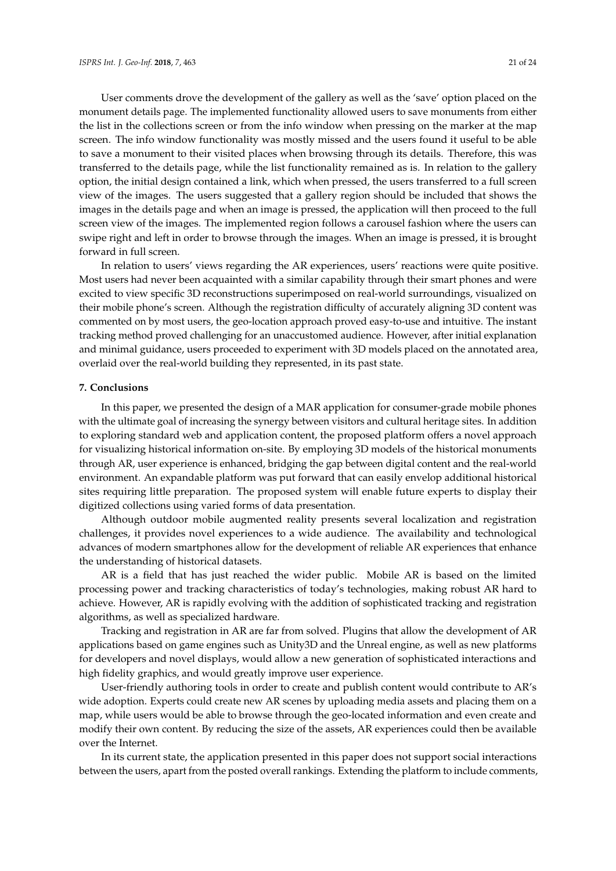User comments drove the development of the gallery as well as the 'save' option placed on the monument details page. The implemented functionality allowed users to save monuments from either the list in the collections screen or from the info window when pressing on the marker at the map screen. The info window functionality was mostly missed and the users found it useful to be able to save a monument to their visited places when browsing through its details. Therefore, this was transferred to the details page, while the list functionality remained as is. In relation to the gallery option, the initial design contained a link, which when pressed, the users transferred to a full screen view of the images. The users suggested that a gallery region should be included that shows the images in the details page and when an image is pressed, the application will then proceed to the full screen view of the images. The implemented region follows a carousel fashion where the users can swipe right and left in order to browse through the images. When an image is pressed, it is brought forward in full screen.

In relation to users' views regarding the AR experiences, users' reactions were quite positive. Most users had never been acquainted with a similar capability through their smart phones and were excited to view specific 3D reconstructions superimposed on real-world surroundings, visualized on their mobile phone's screen. Although the registration difficulty of accurately aligning 3D content was commented on by most users, the geo-location approach proved easy-to-use and intuitive. The instant tracking method proved challenging for an unaccustomed audience. However, after initial explanation and minimal guidance, users proceeded to experiment with 3D models placed on the annotated area, overlaid over the real-world building they represented, in its past state.

#### **7. Conclusions**

In this paper, we presented the design of a MAR application for consumer-grade mobile phones with the ultimate goal of increasing the synergy between visitors and cultural heritage sites. In addition to exploring standard web and application content, the proposed platform offers a novel approach for visualizing historical information on-site. By employing 3D models of the historical monuments through AR, user experience is enhanced, bridging the gap between digital content and the real-world environment. An expandable platform was put forward that can easily envelop additional historical sites requiring little preparation. The proposed system will enable future experts to display their digitized collections using varied forms of data presentation.

Although outdoor mobile augmented reality presents several localization and registration challenges, it provides novel experiences to a wide audience. The availability and technological advances of modern smartphones allow for the development of reliable AR experiences that enhance the understanding of historical datasets.

AR is a field that has just reached the wider public. Mobile AR is based on the limited processing power and tracking characteristics of today's technologies, making robust AR hard to achieve. However, AR is rapidly evolving with the addition of sophisticated tracking and registration algorithms, as well as specialized hardware.

Tracking and registration in AR are far from solved. Plugins that allow the development of AR applications based on game engines such as Unity3D and the Unreal engine, as well as new platforms for developers and novel displays, would allow a new generation of sophisticated interactions and high fidelity graphics, and would greatly improve user experience.

User-friendly authoring tools in order to create and publish content would contribute to AR's wide adoption. Experts could create new AR scenes by uploading media assets and placing them on a map, while users would be able to browse through the geo-located information and even create and modify their own content. By reducing the size of the assets, AR experiences could then be available over the Internet.

In its current state, the application presented in this paper does not support social interactions between the users, apart from the posted overall rankings. Extending the platform to include comments,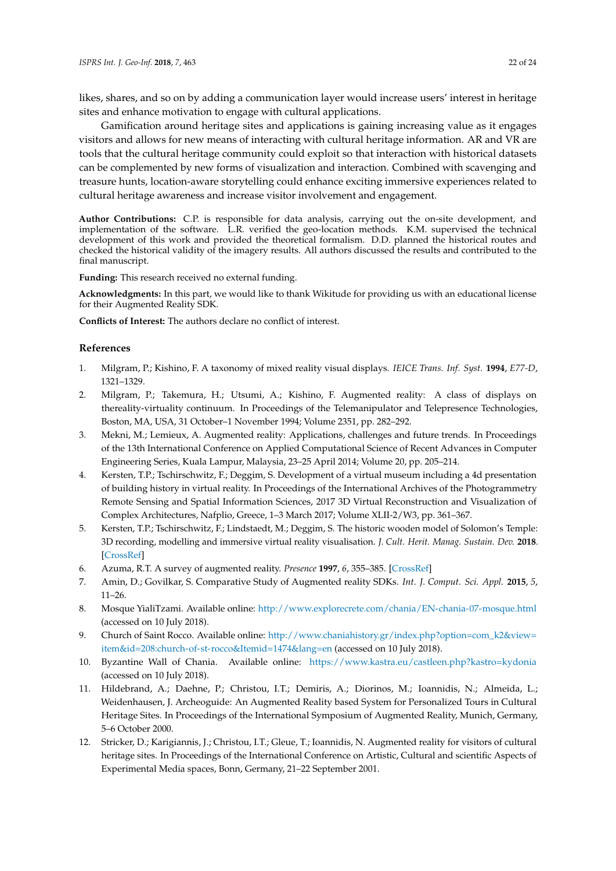likes, shares, and so on by adding a communication layer would increase users' interest in heritage sites and enhance motivation to engage with cultural applications.

Gamification around heritage sites and applications is gaining increasing value as it engages visitors and allows for new means of interacting with cultural heritage information. AR and VR are tools that the cultural heritage community could exploit so that interaction with historical datasets can be complemented by new forms of visualization and interaction. Combined with scavenging and treasure hunts, location-aware storytelling could enhance exciting immersive experiences related to cultural heritage awareness and increase visitor involvement and engagement.

**Author Contributions:** C.P. is responsible for data analysis, carrying out the on-site development, and implementation of the software. L.R. verified the geo-location methods. K.M. supervised the technical development of this work and provided the theoretical formalism. D.D. planned the historical routes and checked the historical validity of the imagery results. All authors discussed the results and contributed to the final manuscript.

**Funding:** This research received no external funding.

**Acknowledgments:** In this part, we would like to thank Wikitude for providing us with an educational license for their Augmented Reality SDK.

**Conflicts of Interest:** The authors declare no conflict of interest.

# **References**

- <span id="page-21-0"></span>1. Milgram, P.; Kishino, F. A taxonomy of mixed reality visual displays. *IEICE Trans. Inf. Syst.* **1994**, *E77-D*, 1321–1329.
- <span id="page-21-1"></span>2. Milgram, P.; Takemura, H.; Utsumi, A.; Kishino, F. Augmented reality: A class of displays on thereality-virtuality continuum. In Proceedings of the Telemanipulator and Telepresence Technologies, Boston, MA, USA, 31 October–1 November 1994; Volume 2351, pp. 282–292.
- <span id="page-21-2"></span>3. Mekni, M.; Lemieux, A. Augmented reality: Applications, challenges and future trends. In Proceedings of the 13th International Conference on Applied Computational Science of Recent Advances in Computer Engineering Series, Kuala Lampur, Malaysia, 23–25 April 2014; Volume 20, pp. 205–214.
- <span id="page-21-3"></span>4. Kersten, T.P.; Tschirschwitz, F.; Deggim, S. Development of a virtual museum including a 4d presentation of building history in virtual reality. In Proceedings of the International Archives of the Photogrammetry Remote Sensing and Spatial Information Sciences, 2017 3D Virtual Reconstruction and Visualization of Complex Architectures, Nafplio, Greece, 1–3 March 2017; Volume XLII-2/W3, pp. 361–367.
- <span id="page-21-4"></span>5. Kersten, T.P.; Tschirschwitz, F.; Lindstaedt, M.; Deggim, S. The historic wooden model of Solomon's Temple: 3D recording, modelling and immersive virtual reality visualisation. *J. Cult. Herit. Manag. Sustain. Dev.* **2018**. [\[CrossRef\]](http://dx.doi.org/10.1108/JCHMSD-09-2017-0067)
- <span id="page-21-5"></span>6. Azuma, R.T. A survey of augmented reality. *Presence* **1997**, *6*, 355–385. [\[CrossRef\]](http://dx.doi.org/10.1162/pres.1997.6.4.355)
- <span id="page-21-6"></span>7. Amin, D.; Govilkar, S. Comparative Study of Augmented reality SDKs. *Int. J. Comput. Sci. Appl.* **2015**, *5*, 11–26.
- <span id="page-21-7"></span>8. Mosque YialiTzami. Available online: <http://www.explorecrete.com/chania/EN-chania-07-mosque.html> (accessed on 10 July 2018).
- <span id="page-21-8"></span>9. Church of Saint Rocco. Available online: [http://www.chaniahistory.gr/index.php?option=com\\_k2&view=](http://www.chaniahistory.gr/index.php?option=com_k2&view=item&id=208:church-of-st-rocco&Itemid=1474&lang=en) [item&id=208:church-of-st-rocco&Itemid=1474&lang=en](http://www.chaniahistory.gr/index.php?option=com_k2&view=item&id=208:church-of-st-rocco&Itemid=1474&lang=en) (accessed on 10 July 2018).
- <span id="page-21-9"></span>10. Byzantine Wall of Chania. Available online: <https://www.kastra.eu/castleen.php?kastro=kydonia> (accessed on 10 July 2018).
- <span id="page-21-10"></span>11. Hildebrand, A.; Daehne, P.; Christou, I.T.; Demiris, A.; Diorinos, M.; Ioannidis, N.; Almeida, L.; Weidenhausen, J. Archeoguide: An Augmented Reality based System for Personalized Tours in Cultural Heritage Sites. In Proceedings of the International Symposium of Augmented Reality, Munich, Germany, 5–6 October 2000.
- <span id="page-21-11"></span>12. Stricker, D.; Karigiannis, J.; Christou, I.T.; Gleue, T.; Ioannidis, N. Augmented reality for visitors of cultural heritage sites. In Proceedings of the International Conference on Artistic, Cultural and scientific Aspects of Experimental Media spaces, Bonn, Germany, 21–22 September 2001.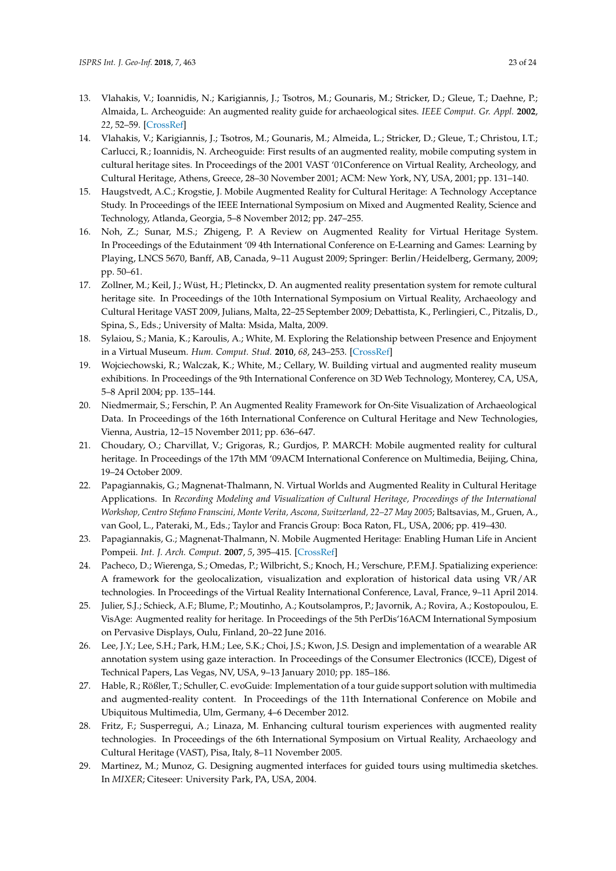- <span id="page-22-0"></span>13. Vlahakis, V.; Ioannidis, N.; Karigiannis, J.; Tsotros, M.; Gounaris, M.; Stricker, D.; Gleue, T.; Daehne, P.; Almaida, L. Archeoguide: An augmented reality guide for archaeological sites. *IEEE Comput. Gr. Appl.* **2002**, *22*, 52–59. [\[CrossRef\]](http://dx.doi.org/10.1109/MCG.2002.1028726)
- <span id="page-22-1"></span>14. Vlahakis, V.; Karigiannis, J.; Tsotros, M.; Gounaris, M.; Almeida, L.; Stricker, D.; Gleue, T.; Christou, I.T.; Carlucci, R.; Ioannidis, N. Archeoguide: First results of an augmented reality, mobile computing system in cultural heritage sites. In Proceedings of the 2001 VAST '01Conference on Virtual Reality, Archeology, and Cultural Heritage, Athens, Greece, 28–30 November 2001; ACM: New York, NY, USA, 2001; pp. 131–140.
- <span id="page-22-2"></span>15. Haugstvedt, A.C.; Krogstie, J. Mobile Augmented Reality for Cultural Heritage: A Technology Acceptance Study. In Proceedings of the IEEE International Symposium on Mixed and Augmented Reality, Science and Technology, Atlanda, Georgia, 5–8 November 2012; pp. 247–255.
- <span id="page-22-3"></span>16. Noh, Z.; Sunar, M.S.; Zhigeng, P. A Review on Augmented Reality for Virtual Heritage System. In Proceedings of the Edutainment '09 4th International Conference on E-Learning and Games: Learning by Playing, LNCS 5670, Banff, AB, Canada, 9–11 August 2009; Springer: Berlin/Heidelberg, Germany, 2009; pp. 50–61.
- <span id="page-22-4"></span>17. Zollner, M.; Keil, J.; Wüst, H.; Pletinckx, D. An augmented reality presentation system for remote cultural heritage site. In Proceedings of the 10th International Symposium on Virtual Reality, Archaeology and Cultural Heritage VAST 2009, Julians, Malta, 22–25 September 2009; Debattista, K., Perlingieri, C., Pitzalis, D., Spina, S., Eds.; University of Malta: Msida, Malta, 2009.
- <span id="page-22-5"></span>18. Sylaiou, S.; Mania, K.; Karoulis, A.; White, M. Exploring the Relationship between Presence and Enjoyment in a Virtual Museum. *Hum. Comput. Stud.* **2010**, *68*, 243–253. [\[CrossRef\]](http://dx.doi.org/10.1016/j.ijhcs.2009.11.002)
- <span id="page-22-6"></span>19. Wojciechowski, R.; Walczak, K.; White, M.; Cellary, W. Building virtual and augmented reality museum exhibitions. In Proceedings of the 9th International Conference on 3D Web Technology, Monterey, CA, USA, 5–8 April 2004; pp. 135–144.
- <span id="page-22-7"></span>20. Niedmermair, S.; Ferschin, P. An Augmented Reality Framework for On-Site Visualization of Archaeological Data. In Proceedings of the 16th International Conference on Cultural Heritage and New Technologies, Vienna, Austria, 12–15 November 2011; pp. 636–647.
- <span id="page-22-8"></span>21. Choudary, O.; Charvillat, V.; Grigoras, R.; Gurdjos, P. MARCH: Mobile augmented reality for cultural heritage. In Proceedings of the 17th MM '09ACM International Conference on Multimedia, Beijing, China, 19–24 October 2009.
- <span id="page-22-9"></span>22. Papagiannakis, G.; Magnenat-Thalmann, N. Virtual Worlds and Augmented Reality in Cultural Heritage Applications. In *Recording Modeling and Visualization of Cultural Heritage, Proceedings of the International Workshop, Centro Stefano Franscini, Monte Verita, Ascona, Switzerland, 22–27 May 2005*; Baltsavias, M., Gruen, A., van Gool, L., Pateraki, M., Eds.; Taylor and Francis Group: Boca Raton, FL, USA, 2006; pp. 419–430.
- <span id="page-22-10"></span>23. Papagiannakis, G.; Magnenat-Thalmann, N. Mobile Augmented Heritage: Enabling Human Life in Ancient Pompeii. *Int. J. Arch. Comput.* **2007**, *5*, 395–415. [\[CrossRef\]](http://dx.doi.org/10.1260/1478-0771.5.2.396)
- <span id="page-22-11"></span>24. Pacheco, D.; Wierenga, S.; Omedas, P.; Wilbricht, S.; Knoch, H.; Verschure, P.F.M.J. Spatializing experience: A framework for the geolocalization, visualization and exploration of historical data using VR/AR technologies. In Proceedings of the Virtual Reality International Conference, Laval, France, 9–11 April 2014.
- <span id="page-22-12"></span>25. Julier, S.J.; Schieck, A.F.; Blume, P.; Moutinho, A.; Koutsolampros, P.; Javornik, A.; Rovira, A.; Kostopoulou, E. VisAge: Augmented reality for heritage. In Proceedings of the 5th PerDis'16ACM International Symposium on Pervasive Displays, Oulu, Finland, 20–22 June 2016.
- <span id="page-22-13"></span>26. Lee, J.Y.; Lee, S.H.; Park, H.M.; Lee, S.K.; Choi, J.S.; Kwon, J.S. Design and implementation of a wearable AR annotation system using gaze interaction. In Proceedings of the Consumer Electronics (ICCE), Digest of Technical Papers, Las Vegas, NV, USA, 9–13 January 2010; pp. 185–186.
- <span id="page-22-14"></span>27. Hable, R.; Rößler, T.; Schuller, C. evoGuide: Implementation of a tour guide support solution with multimedia and augmented-reality content. In Proceedings of the 11th International Conference on Mobile and Ubiquitous Multimedia, Ulm, Germany, 4–6 December 2012.
- <span id="page-22-15"></span>28. Fritz, F.; Susperregui, A.; Linaza, M. Enhancing cultural tourism experiences with augmented reality technologies. In Proceedings of the 6th International Symposium on Virtual Reality, Archaeology and Cultural Heritage (VAST), Pisa, Italy, 8–11 November 2005.
- <span id="page-22-16"></span>29. Martinez, M.; Munoz, G. Designing augmented interfaces for guided tours using multimedia sketches. In *MIXER*; Citeseer: University Park, PA, USA, 2004.